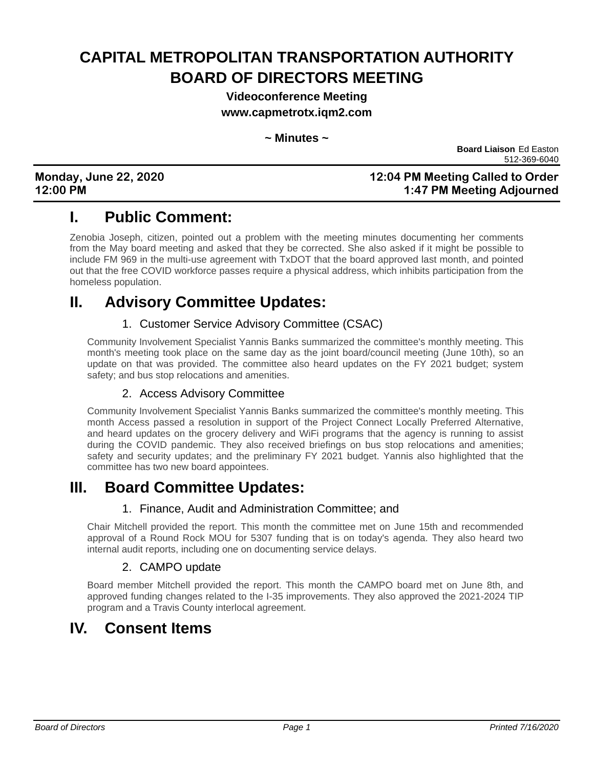# **CAPITAL METROPOLITAN TRANSPORTATION AUTHORITY BOARD OF DIRECTORS MEETING**

**Videoconference Meeting**

**www.capmetrotx.iqm2.com**

#### **~ Minutes ~**

 **Board Liaison** Ed Easton 512-369-6040

#### **Monday, June 22, 2020 12:04 PM Meeting Called to Order 12:00 PM 1:47 PM Meeting Adjourned**

## **I. Public Comment:**

Zenobia Joseph, citizen, pointed out a problem with the meeting minutes documenting her comments from the May board meeting and asked that they be corrected. She also asked if it might be possible to include FM 969 in the multi-use agreement with TxDOT that the board approved last month, and pointed out that the free COVID workforce passes require a physical address, which inhibits participation from the homeless population.

## **II. Advisory Committee Updates:**

### 1. Customer Service Advisory Committee (CSAC)

Community Involvement Specialist Yannis Banks summarized the committee's monthly meeting. This month's meeting took place on the same day as the joint board/council meeting (June 10th), so an update on that was provided. The committee also heard updates on the FY 2021 budget; system safety; and bus stop relocations and amenities.

### 2. Access Advisory Committee

Community Involvement Specialist Yannis Banks summarized the committee's monthly meeting. This month Access passed a resolution in support of the Project Connect Locally Preferred Alternative, and heard updates on the grocery delivery and WiFi programs that the agency is running to assist during the COVID pandemic. They also received briefings on bus stop relocations and amenities; safety and security updates; and the preliminary FY 2021 budget. Yannis also highlighted that the committee has two new board appointees.

### **III. Board Committee Updates:**

### 1. Finance, Audit and Administration Committee; and

Chair Mitchell provided the report. This month the committee met on June 15th and recommended approval of a Round Rock MOU for 5307 funding that is on today's agenda. They also heard two internal audit reports, including one on documenting service delays.

### 2. CAMPO update

Board member Mitchell provided the report. This month the CAMPO board met on June 8th, and approved funding changes related to the I-35 improvements. They also approved the 2021-2024 TIP program and a Travis County interlocal agreement.

## **IV. Consent Items**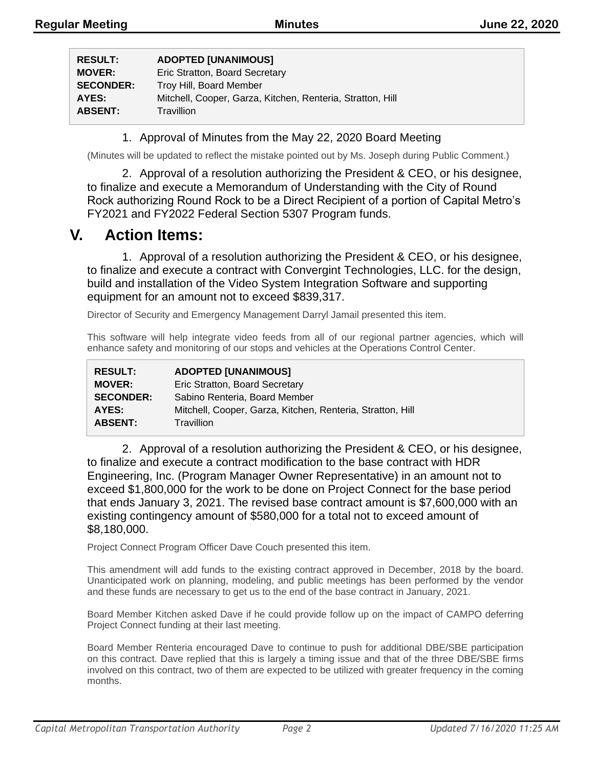| <b>RESULT:</b>   | <b>ADOPTED [UNANIMOUS]</b>                                 |
|------------------|------------------------------------------------------------|
| <b>MOVER:</b>    | Eric Stratton, Board Secretary                             |
| <b>SECONDER:</b> | Troy Hill, Board Member                                    |
| AYES:            | Mitchell, Cooper, Garza, Kitchen, Renteria, Stratton, Hill |
| <b>ABSENT:</b>   | Travillion                                                 |

1. Approval of Minutes from the May 22, 2020 Board Meeting

(Minutes will be updated to reflect the mistake pointed out by Ms. Joseph during Public Comment.)

2. Approval of a resolution authorizing the President & CEO, or his designee, to finalize and execute a Memorandum of Understanding with the City of Round Rock authorizing Round Rock to be a Direct Recipient of a portion of Capital Metro's FY2021 and FY2022 Federal Section 5307 Program funds.

### **V. Action Items:**

1. Approval of a resolution authorizing the President & CEO, or his designee, to finalize and execute a contract with Convergint Technologies, LLC. for the design, build and installation of the Video System Integration Software and supporting equipment for an amount not to exceed \$839,317.

Director of Security and Emergency Management Darryl Jamail presented this item.

This software will help integrate video feeds from all of our regional partner agencies, which will enhance safety and monitoring of our stops and vehicles at the Operations Control Center.

| <b>RESULT:</b>   | <b>ADOPTED [UNANIMOUS]</b>                                 |
|------------------|------------------------------------------------------------|
| <b>MOVER:</b>    | Eric Stratton, Board Secretary                             |
| <b>SECONDER:</b> | Sabino Renteria, Board Member                              |
| AYES:            | Mitchell, Cooper, Garza, Kitchen, Renteria, Stratton, Hill |
| <b>ABSENT:</b>   | Travillion                                                 |

2. Approval of a resolution authorizing the President & CEO, or his designee, to finalize and execute a contract modification to the base contract with HDR Engineering, Inc. (Program Manager Owner Representative) in an amount not to exceed \$1,800,000 for the work to be done on Project Connect for the base period that ends January 3, 2021. The revised base contract amount is \$7,600,000 with an existing contingency amount of \$580,000 for a total not to exceed amount of \$8,180,000.

Project Connect Program Officer Dave Couch presented this item.

This amendment will add funds to the existing contract approved in December, 2018 by the board. Unanticipated work on planning, modeling, and public meetings has been performed by the vendor and these funds are necessary to get us to the end of the base contract in January, 2021.

Board Member Kitchen asked Dave if he could provide follow up on the impact of CAMPO deferring Project Connect funding at their last meeting.

Board Member Renteria encouraged Dave to continue to push for additional DBE/SBE participation on this contract. Dave replied that this is largely a timing issue and that of the three DBE/SBE firms involved on this contract, two of them are expected to be utilized with greater frequency in the coming months.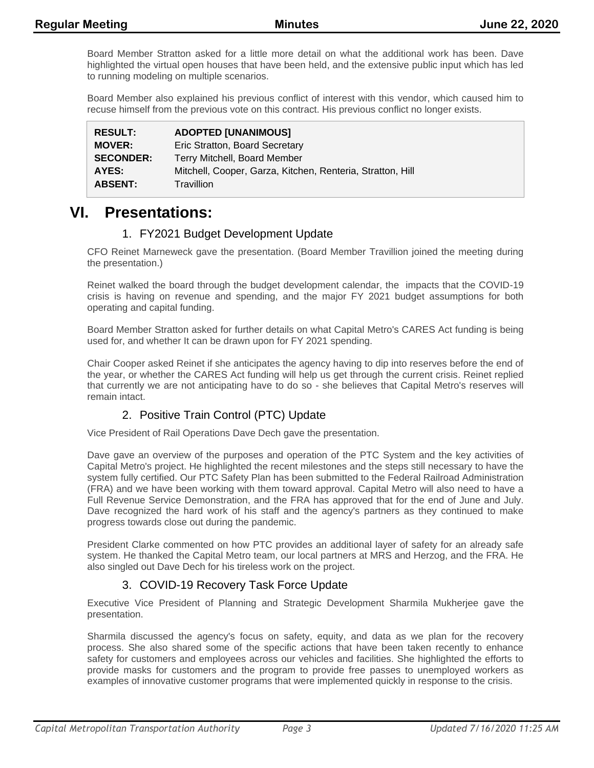Board Member Stratton asked for a little more detail on what the additional work has been. Dave highlighted the virtual open houses that have been held, and the extensive public input which has led to running modeling on multiple scenarios.

Board Member also explained his previous conflict of interest with this vendor, which caused him to recuse himself from the previous vote on this contract. His previous conflict no longer exists.

| <b>RESULT:</b>   | <b>ADOPTED [UNANIMOUS]</b>                                 |
|------------------|------------------------------------------------------------|
| <b>MOVER:</b>    | Eric Stratton, Board Secretary                             |
| <b>SECONDER:</b> | Terry Mitchell, Board Member                               |
| AYES:            | Mitchell, Cooper, Garza, Kitchen, Renteria, Stratton, Hill |
| <b>ABSENT:</b>   | Travillion                                                 |

### **VI. Presentations:**

### 1. FY2021 Budget Development Update

CFO Reinet Marneweck gave the presentation. (Board Member Travillion joined the meeting during the presentation.)

Reinet walked the board through the budget development calendar, the impacts that the COVID-19 crisis is having on revenue and spending, and the major FY 2021 budget assumptions for both operating and capital funding.

Board Member Stratton asked for further details on what Capital Metro's CARES Act funding is being used for, and whether It can be drawn upon for FY 2021 spending.

Chair Cooper asked Reinet if she anticipates the agency having to dip into reserves before the end of the year, or whether the CARES Act funding will help us get through the current crisis. Reinet replied that currently we are not anticipating have to do so - she believes that Capital Metro's reserves will remain intact.

### 2. Positive Train Control (PTC) Update

Vice President of Rail Operations Dave Dech gave the presentation.

Dave gave an overview of the purposes and operation of the PTC System and the key activities of Capital Metro's project. He highlighted the recent milestones and the steps still necessary to have the system fully certified. Our PTC Safety Plan has been submitted to the Federal Railroad Administration (FRA) and we have been working with them toward approval. Capital Metro will also need to have a Full Revenue Service Demonstration, and the FRA has approved that for the end of June and July. Dave recognized the hard work of his staff and the agency's partners as they continued to make progress towards close out during the pandemic.

President Clarke commented on how PTC provides an additional layer of safety for an already safe system. He thanked the Capital Metro team, our local partners at MRS and Herzog, and the FRA. He also singled out Dave Dech for his tireless work on the project.

### 3. COVID-19 Recovery Task Force Update

Executive Vice President of Planning and Strategic Development Sharmila Mukherjee gave the presentation.

Sharmila discussed the agency's focus on safety, equity, and data as we plan for the recovery process. She also shared some of the specific actions that have been taken recently to enhance safety for customers and employees across our vehicles and facilities. She highlighted the efforts to provide masks for customers and the program to provide free passes to unemployed workers as examples of innovative customer programs that were implemented quickly in response to the crisis.